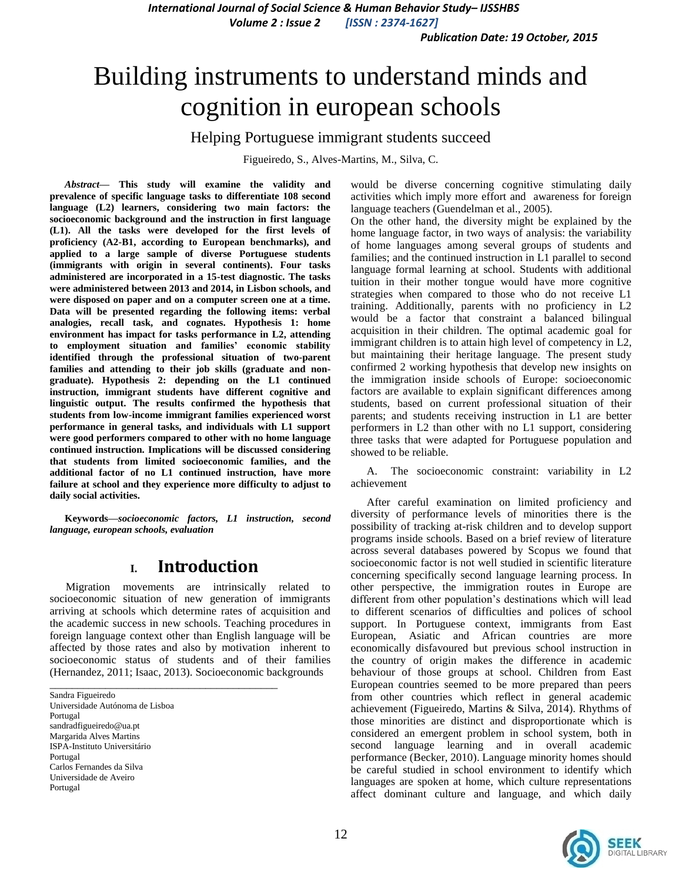# Building instruments to understand minds and cognition in european schools

### Helping Portuguese immigrant students succeed

Figueiredo, S., Alves-Martins, M., Silva, C.

*Abstract***— This study will examine the validity and prevalence of specific language tasks to differentiate 108 second language (L2) learners, considering two main factors: the socioeconomic background and the instruction in first language (L1). All the tasks were developed for the first levels of proficiency (A2-B1, according to European benchmarks), and applied to a large sample of diverse Portuguese students (immigrants with origin in several continents). Four tasks administered are incorporated in a 15-test diagnostic. The tasks were administered between 2013 and 2014, in Lisbon schools, and were disposed on paper and on a computer screen one at a time. Data will be presented regarding the following items: verbal analogies, recall task, and cognates. Hypothesis 1: home environment has impact for tasks performance in L2, attending to employment situation and families' economic stability identified through the professional situation of two-parent families and attending to their job skills (graduate and nongraduate). Hypothesis 2: depending on the L1 continued instruction, immigrant students have different cognitive and linguistic output. The results confirmed the hypothesis that students from low-income immigrant families experienced worst performance in general tasks, and individuals with L1 support were good performers compared to other with no home language continued instruction. Implications will be discussed considering that students from limited socioeconomic families, and the additional factor of no L1 continued instruction, have more failure at school and they experience more difficulty to adjust to daily social activities.**

**Keywords—***socioeconomic factors, L1 instruction, second language, european schools, evaluation*

# **I. Introduction**

Migration movements are intrinsically related to socioeconomic situation of new generation of immigrants arriving at schools which determine rates of acquisition and the academic success in new schools. Teaching procedures in foreign language context other than English language will be affected by those rates and also by motivation inherent to socioeconomic status of students and of their families (Hernandez, 2011; Isaac, 2013). Socioeconomic backgrounds

\_\_\_\_\_\_\_\_\_\_\_\_\_\_\_\_\_\_\_\_\_\_\_\_\_\_\_\_\_\_\_\_\_\_\_\_\_\_\_\_\_

Sandra Figueiredo Universidade Autónoma de Lisboa Portugal sandradfigueiredo@ua.pt Margarida Alves Martins ISPA-Instituto Universitário Portugal Carlos Fernandes da Silva Universidade de Aveiro Portugal

would be diverse concerning cognitive stimulating daily activities which imply more effort and awareness for foreign language teachers (Guendelman et al., 2005).

On the other hand, the diversity might be explained by the home language factor, in two ways of analysis: the variability of home languages among several groups of students and families; and the continued instruction in L1 parallel to second language formal learning at school. Students with additional tuition in their mother tongue would have more cognitive strategies when compared to those who do not receive L1 training. Additionally, parents with no proficiency in L2 would be a factor that constraint a balanced bilingual acquisition in their children. The optimal academic goal for immigrant children is to attain high level of competency in L2, but maintaining their heritage language. The present study confirmed 2 working hypothesis that develop new insights on the immigration inside schools of Europe: socioeconomic factors are available to explain significant differences among students, based on current professional situation of their parents; and students receiving instruction in L1 are better performers in L2 than other with no L1 support, considering three tasks that were adapted for Portuguese population and showed to be reliable.

A. The socioeconomic constraint: variability in L2 achievement

After careful examination on limited proficiency and diversity of performance levels of minorities there is the possibility of tracking at-risk children and to develop support programs inside schools. Based on a brief review of literature across several databases powered by Scopus we found that socioeconomic factor is not well studied in scientific literature concerning specifically second language learning process. In other perspective, the immigration routes in Europe are different from other population's destinations which will lead to different scenarios of difficulties and polices of school support. In Portuguese context, immigrants from East European, Asiatic and African countries are more economically disfavoured but previous school instruction in the country of origin makes the difference in academic behaviour of those groups at school. Children from East European countries seemed to be more prepared than peers from other countries which reflect in general academic achievement (Figueiredo, Martins & Silva, 2014). Rhythms of those minorities are distinct and disproportionate which is considered an emergent problem in school system, both in second language learning and in overall academic performance (Becker, 2010). Language minority homes should be careful studied in school environment to identify which languages are spoken at home, which culture representations affect dominant culture and language, and which daily

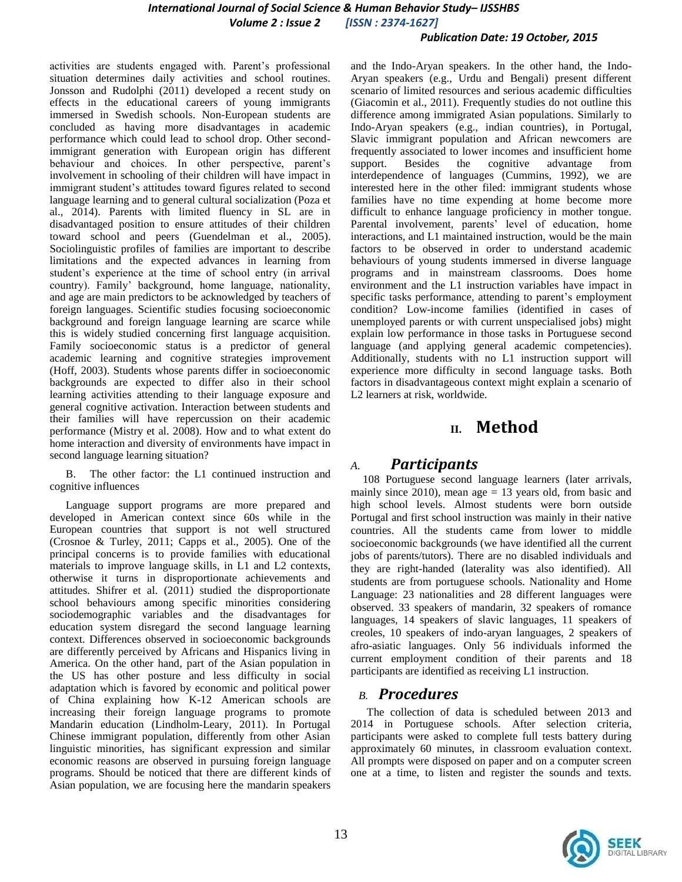# *International Journal of Social Science & Human Behavior Study– IJSSHBS*

*Volume 2 : Issue 2 [ISSN : 2374-1627]*

#### *Publication Date: 19 October, 2015*

activities are students engaged with. Parent's professional situation determines daily activities and school routines. Jonsson and Rudolphi (2011) developed a recent study on effects in the educational careers of young immigrants immersed in Swedish schools. Non-European students are concluded as having more disadvantages in academic performance which could lead to school drop. Other secondimmigrant generation with European origin has different behaviour and choices. In other perspective, parent's involvement in schooling of their children will have impact in immigrant student's attitudes toward figures related to second language learning and to general cultural socialization (Poza et al., 2014). Parents with limited fluency in SL are in disadvantaged position to ensure attitudes of their children toward school and peers (Guendelman et al., 2005). Sociolinguistic profiles of families are important to describe limitations and the expected advances in learning from student's experience at the time of school entry (in arrival country). Family' background, home language, nationality, and age are main predictors to be acknowledged by teachers of foreign languages. Scientific studies focusing socioeconomic background and foreign language learning are scarce while this is widely studied concerning first language acquisition. Family socioeconomic status is a predictor of general academic learning and cognitive strategies improvement (Hoff, 2003). Students whose parents differ in socioeconomic backgrounds are expected to differ also in their school learning activities attending to their language exposure and general cognitive activation. Interaction between students and their families will have repercussion on their academic performance (Mistry et al. 2008). How and to what extent do home interaction and diversity of environments have impact in second language learning situation?

B. The other factor: the L1 continued instruction and cognitive influences

Language support programs are more prepared and developed in American context since 60s while in the European countries that support is not well structured (Crosnoe & Turley, 2011; Capps et al., 2005). One of the principal concerns is to provide families with educational materials to improve language skills, in L1 and L2 contexts, otherwise it turns in disproportionate achievements and attitudes. Shifrer et al.  $(2011)$  studied the disproportionate school behaviours among specific minorities considering sociodemographic variables and the disadvantages for education system disregard the second language learning context. Differences observed in socioeconomic backgrounds are differently perceived by Africans and Hispanics living in America. On the other hand, part of the Asian population in the US has other posture and less difficulty in social adaptation which is favored by economic and political power of China explaining how K-12 American schools are increasing their foreign language programs to promote Mandarin education (Lindholm-Leary, 2011). In Portugal Chinese immigrant population, differently from other Asian linguistic minorities, has significant expression and similar economic reasons are observed in pursuing foreign language programs. Should be noticed that there are different kinds of Asian population, we are focusing here the mandarin speakers

and the Indo-Aryan speakers. In the other hand, the Indo-Aryan speakers (e.g., Urdu and Bengali) present different scenario of limited resources and serious academic difficulties (Giacomin et al., 2011). Frequently studies do not outline this difference among immigrated Asian populations. Similarly to Indo-Aryan speakers (e.g., indian countries), in Portugal, Slavic immigrant population and African newcomers are frequently associated to lower incomes and insufficient home support. Besides the cognitive advantage from interdependence of languages (Cummins, 1992), we are interested here in the other filed: immigrant students whose families have no time expending at home become more difficult to enhance language proficiency in mother tongue. Parental involvement, parents' level of education, home interactions, and L1 maintained instruction, would be the main factors to be observed in order to understand academic behaviours of young students immersed in diverse language programs and in mainstream classrooms. Does home environment and the L1 instruction variables have impact in specific tasks performance, attending to parent's employment condition? Low-income families (identified in cases of unemployed parents or with current unspecialised jobs) might explain low performance in those tasks in Portuguese second language (and applying general academic competencies). Additionally, students with no L1 instruction support will experience more difficulty in second language tasks. Both factors in disadvantageous context might explain a scenario of L2 learners at risk, worldwide.

# **II. Method**

### *A. Participants*

108 Portuguese second language learners (later arrivals, mainly since 2010), mean age  $= 13$  years old, from basic and high school levels. Almost students were born outside Portugal and first school instruction was mainly in their native countries. All the students came from lower to middle socioeconomic backgrounds (we have identified all the current jobs of parents/tutors). There are no disabled individuals and they are right-handed (laterality was also identified). All students are from portuguese schools. Nationality and Home Language: 23 nationalities and 28 different languages were observed. 33 speakers of mandarin, 32 speakers of romance languages, 14 speakers of slavic languages, 11 speakers of creoles, 10 speakers of indo-aryan languages, 2 speakers of afro-asiatic languages. Only 56 individuals informed the current employment condition of their parents and 18 participants are identified as receiving L1 instruction.

### *B. Procedures*

The collection of data is scheduled between 2013 and 2014 in Portuguese schools. After selection criteria, participants were asked to complete full tests battery during approximately 60 minutes, in classroom evaluation context. All prompts were disposed on paper and on a computer screen one at a time, to listen and register the sounds and texts.

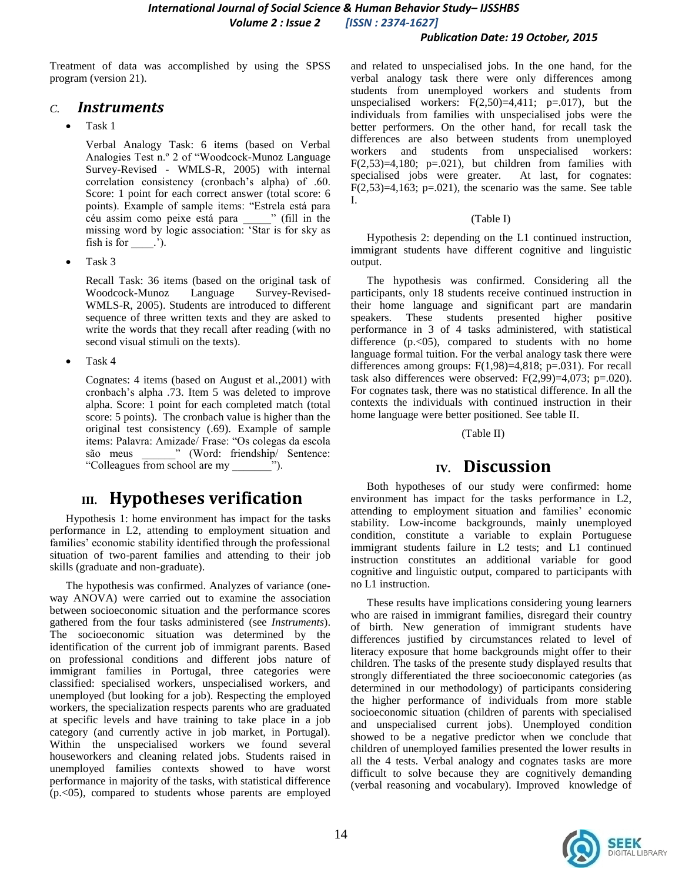*International Journal of Social Science & Human Behavior Study– IJSSHBS Volume 2 : Issue 2 [ISSN : 2374-1627]*

#### *Publication Date: 19 October, 2015*

Treatment of data was accomplished by using the SPSS program (version 21).

### *C. Instruments*

Task 1

Verbal Analogy Task: 6 items (based on Verbal Analogies Test n.º 2 of "Woodcock-Munoz Language Survey-Revised - WMLS-R, 2005) with internal correlation consistency (cronbach's alpha) of .60. Score: 1 point for each correct answer (total score: 6 points). Example of sample items: "Estrela está para céu assim como peixe está para \_\_\_\_\_\_\_" (fill in the missing word by logic association: 'Star is for sky as fish is for  $\_\$ .

Task 3

Recall Task: 36 items (based on the original task of Woodcock-Munoz Language Survey-Revised-WMLS-R, 2005). Students are introduced to different sequence of three written texts and they are asked to write the words that they recall after reading (with no second visual stimuli on the texts).

Task 4

Cognates: 4 items (based on August et al.,2001) with cronbach's alpha .73. Item 5 was deleted to improve alpha. Score: 1 point for each completed match (total score: 5 points). The cronbach value is higher than the original test consistency (.69). Example of sample items: Palavra: Amizade/ Frase: "Os colegas da escola são meus \_\_\_\_\_\_\_\_" (Word: friendship/ Sentence: ―Colleagues from school are my \_\_\_\_\_\_\_‖).

# **III. Hypotheses verification**

Hypothesis 1: home environment has impact for the tasks performance in L2, attending to employment situation and families' economic stability identified through the professional situation of two-parent families and attending to their job skills (graduate and non-graduate).

The hypothesis was confirmed. Analyzes of variance (oneway ANOVA) were carried out to examine the association between socioeconomic situation and the performance scores gathered from the four tasks administered (see *Instruments*). The socioeconomic situation was determined by the identification of the current job of immigrant parents. Based on professional conditions and different jobs nature of immigrant families in Portugal, three categories were classified: specialised workers, unspecialised workers, and unemployed (but looking for a job). Respecting the employed workers, the specialization respects parents who are graduated at specific levels and have training to take place in a job category (and currently active in job market, in Portugal). Within the unspecialised workers we found several houseworkers and cleaning related jobs. Students raised in unemployed families contexts showed to have worst performance in majority of the tasks, with statistical difference (p.<05), compared to students whose parents are employed

and related to unspecialised jobs. In the one hand, for the verbal analogy task there were only differences among students from unemployed workers and students from unspecialised workers:  $F(2,50)=4,411$ ;  $p=.017$ ), but the individuals from families with unspecialised jobs were the better performers. On the other hand, for recall task the differences are also between students from unemployed workers and students from unspecialised workers:  $F(2,53)=4,180$ ;  $p=.021$ ), but children from families with specialised jobs were greater. At last, for cognates: F $(2,53)=4,163$ ; p=.021), the scenario was the same. See table I.

#### (Table I)

Hypothesis 2: depending on the L1 continued instruction, immigrant students have different cognitive and linguistic output.

The hypothesis was confirmed. Considering all the participants, only 18 students receive continued instruction in their home language and significant part are mandarin speakers. These students presented higher positive performance in 3 of 4 tasks administered, with statistical difference (p.<05), compared to students with no home language formal tuition. For the verbal analogy task there were differences among groups: F(1,98)=4,818; p=.031). For recall task also differences were observed:  $F(2,99)=4,073$ ; p=.020). For cognates task, there was no statistical difference. In all the contexts the individuals with continued instruction in their home language were better positioned. See table II.

#### (Table II)

# **IV. Discussion**

Both hypotheses of our study were confirmed: home environment has impact for the tasks performance in L2, attending to employment situation and families' economic stability. Low-income backgrounds, mainly unemployed condition, constitute a variable to explain Portuguese immigrant students failure in L2 tests; and L1 continued instruction constitutes an additional variable for good cognitive and linguistic output, compared to participants with no L1 instruction.

These results have implications considering young learners who are raised in immigrant families, disregard their country of birth. New generation of immigrant students have differences justified by circumstances related to level of literacy exposure that home backgrounds might offer to their children. The tasks of the presente study displayed results that strongly differentiated the three socioeconomic categories (as determined in our methodology) of participants considering the higher performance of individuals from more stable socioeconomic situation (children of parents with specialised and unspecialised current jobs). Unemployed condition showed to be a negative predictor when we conclude that children of unemployed families presented the lower results in all the 4 tests. Verbal analogy and cognates tasks are more difficult to solve because they are cognitively demanding (verbal reasoning and vocabulary). Improved knowledge of

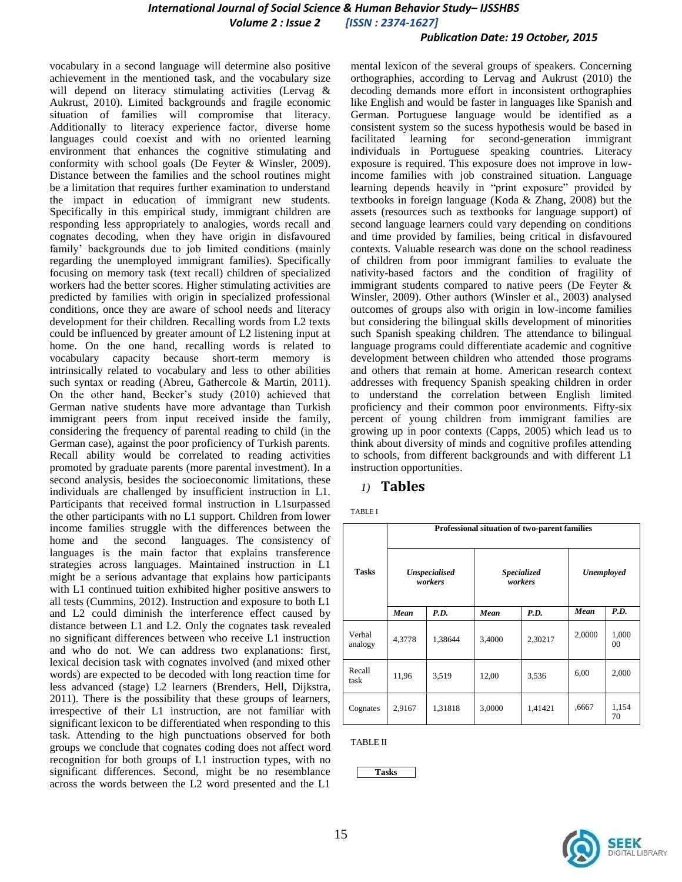#### *International Journal of Social Science & Human Behavior Study– IJSSHBS Volume 2 : Issue 2 [ISSN : 2374-1627]*

#### *Publication Date: 19 October, 2015*

vocabulary in a second language will determine also positive achievement in the mentioned task, and the vocabulary size will depend on literacy stimulating activities (Lervag & Aukrust, 2010). Limited backgrounds and fragile economic situation of families will compromise that literacy. Additionally to literacy experience factor, diverse home languages could coexist and with no oriented learning environment that enhances the cognitive stimulating and conformity with school goals (De Feyter & Winsler, 2009). Distance between the families and the school routines might be a limitation that requires further examination to understand the impact in education of immigrant new students. Specifically in this empirical study, immigrant children are responding less appropriately to analogies, words recall and cognates decoding, when they have origin in disfavoured family' backgrounds due to job limited conditions (mainly regarding the unemployed immigrant families). Specifically focusing on memory task (text recall) children of specialized workers had the better scores. Higher stimulating activities are predicted by families with origin in specialized professional conditions, once they are aware of school needs and literacy development for their children. Recalling words from L2 texts could be influenced by greater amount of L2 listening input at home. On the one hand, recalling words is related to vocabulary capacity because short-term memory is intrinsically related to vocabulary and less to other abilities such syntax or reading (Abreu, Gathercole & Martin, 2011). On the other hand, Becker's study (2010) achieved that German native students have more advantage than Turkish immigrant peers from input received inside the family, considering the frequency of parental reading to child (in the German case), against the poor proficiency of Turkish parents. Recall ability would be correlated to reading activities promoted by graduate parents (more parental investment). In a second analysis, besides the socioeconomic limitations, these individuals are challenged by insufficient instruction in L1. Participants that received formal instruction in L1surpassed the other participants with no L1 support. Children from lower income families struggle with the differences between the home and the second languages. The consistency of languages is the main factor that explains transference strategies across languages. Maintained instruction in L1 might be a serious advantage that explains how participants with L1 continued tuition exhibited higher positive answers to all tests (Cummins, 2012). Instruction and exposure to both L1 and L2 could diminish the interference effect caused by distance between L1 and L2. Only the cognates task revealed no significant differences between who receive L1 instruction and who do not. We can address two explanations: first, lexical decision task with cognates involved (and mixed other words) are expected to be decoded with long reaction time for less advanced (stage) L2 learners (Brenders, Hell, Dijkstra, 2011). There is the possibility that these groups of learners, irrespective of their L1 instruction, are not familiar with significant lexicon to be differentiated when responding to this task. Attending to the high punctuations observed for both groups we conclude that cognates coding does not affect word recognition for both groups of L1 instruction types, with no significant differences. Second, might be no resemblance across the words between the L2 word presented and the L1

mental lexicon of the several groups of speakers. Concerning orthographies, according to Lervag and Aukrust (2010) the decoding demands more effort in inconsistent orthographies like English and would be faster in languages like Spanish and German. Portuguese language would be identified as a consistent system so the sucess hypothesis would be based in facilitated learning for second-generation immigrant individuals in Portuguese speaking countries. Literacy exposure is required. This exposure does not improve in lowincome families with job constrained situation. Language learning depends heavily in "print exposure" provided by textbooks in foreign language (Koda & Zhang, 2008) but the assets (resources such as textbooks for language support) of second language learners could vary depending on conditions and time provided by families, being critical in disfavoured contexts. Valuable research was done on the school readiness of children from poor immigrant families to evaluate the nativity-based factors and the condition of fragility of immigrant students compared to native peers (De Feyter & Winsler, 2009). Other authors (Winsler et al., 2003) analysed outcomes of groups also with origin in low-income families but considering the bilingual skills development of minorities such Spanish speaking children. The attendance to bilingual language programs could differentiate academic and cognitive development between children who attended those programs and others that remain at home. American research context addresses with frequency Spanish speaking children in order to understand the correlation between English limited proficiency and their common poor environments. Fifty-six percent of young children from immigrant families are growing up in poor contexts (Capps, 2005) which lead us to think about diversity of minds and cognitive profiles attending to schools, from different backgrounds and with different L1 instruction opportunities.

#### *1)* **Tables**

TABLE I

| <b>Tasks</b>      | Professional situation of two-parent families |         |                        |         |            |                         |  |  |
|-------------------|-----------------------------------------------|---------|------------------------|---------|------------|-------------------------|--|--|
|                   | <b>Unspecialised</b><br>workers               |         | Specialized<br>workers |         | Unemployed |                         |  |  |
|                   | Mean                                          | P.D.    | Mean                   | P.D.    | Mean       | P.D.                    |  |  |
| Verbal<br>analogy | 4,3778                                        | 1,38644 | 3,4000                 | 2,30217 | 2,0000     | 1,000<br>0 <sup>0</sup> |  |  |
| Recall<br>task    | 11,96                                         | 3,519   | 12,00                  | 3,536   | 6,00       | 2,000                   |  |  |
| Cognates          | 2,9167                                        | 1,31818 | 3,0000                 | 1,41421 | ,6667      | 1,154<br>70             |  |  |

TABLE II